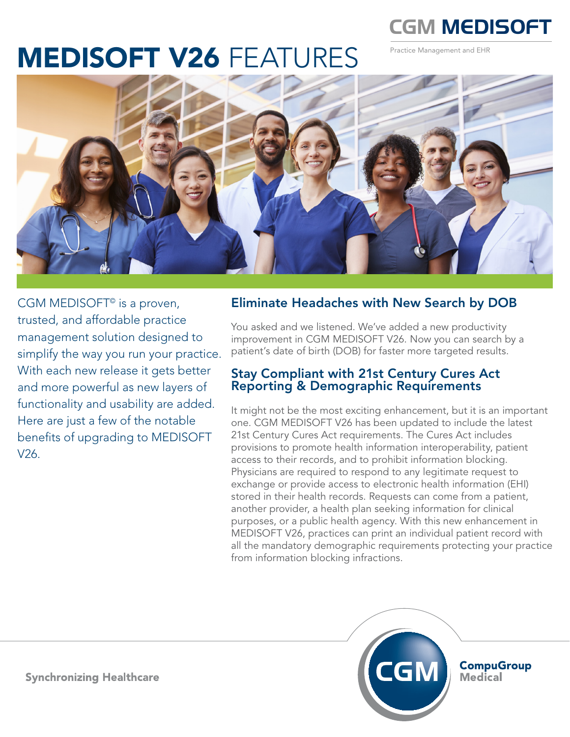

Practice Management and EHR

# MEDISOFT V26 FEATURES



CGM MEDISOFT<sup>©</sup> is a proven, trusted, and affordable practice management solution designed to simplify the way you run your practice. With each new release it gets better and more powerful as new layers of functionality and usability are added. Here are just a few of the notable benefits of upgrading to MEDISOFT V26.

#### Eliminate Headaches with New Search by DOB

You asked and we listened. We've added a new productivity improvement in CGM MEDISOFT V26. Now you can search by a patient's date of birth (DOB) for faster more targeted results.

#### Stay Compliant with 21st Century Cures Act Reporting & Demographic Requirements

It might not be the most exciting enhancement, but it is an important one. CGM MEDISOFT V26 has been updated to include the latest 21st Century Cures Act requirements. The Cures Act includes provisions to promote health information interoperability, patient access to their records, and to prohibit information blocking. Physicians are required to respond to any legitimate request to exchange or provide access to electronic health information (EHI) stored in their health records. Requests can come from a patient, another provider, a health plan seeking information for clinical purposes, or a public health agency. With this new enhancement in MEDISOFT V26, practices can print an individual patient record with all the mandatory demographic requirements protecting your practice from information blocking infractions.



**CompuGroup**<br>Medical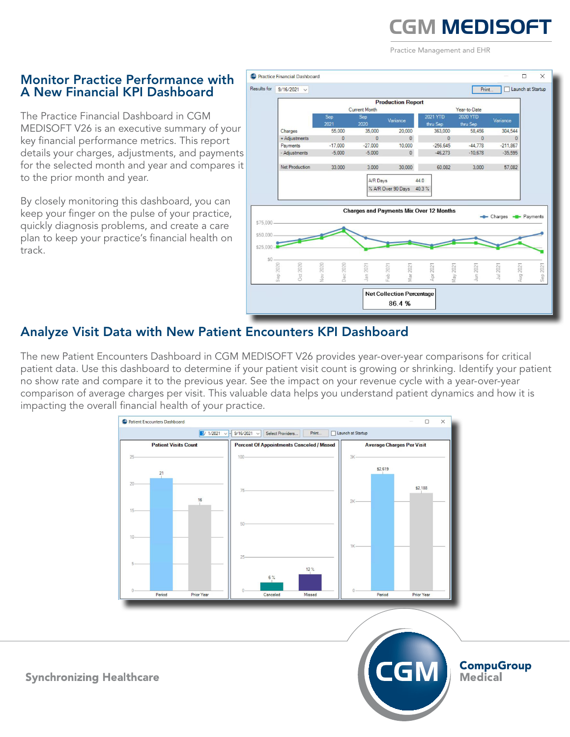# **CGM MEDISOFT**

Practice Management and EHR

#### Monitor Practice Performance with A New Financial KPI Dashboard

The Practice Financial Dashboard in CGM MEDISOFT V26 is an executive summary of your key financial performance metrics. This report details your charges, adjustments, and payments for the selected month and year and compares it to the prior month and year.

By closely monitoring this dashboard, you can keep your finger on the pulse of your practice, quickly diagnosis problems, and create a care plan to keep your practice's financial health on track.



## Analyze Visit Data with New Patient Encounters KPI Dashboard

The new Patient Encounters Dashboard in CGM MEDISOFT V26 provides year-over-year comparisons for critical patient data. Use this dashboard to determine if your patient visit count is growing or shrinking. Identify your patient no show rate and compare it to the previous year. See the impact on your revenue cycle with a year-over-year comparison of average charges per visit. This valuable data helps you understand patient dynamics and how it is impacting the overall financial health of your practice.



**CompuGroup Medical**